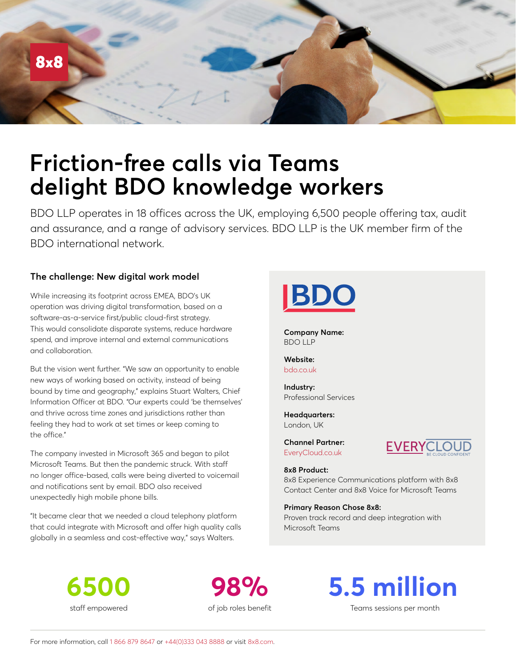

# **Friction-free calls via Teams delight BDO knowledge workers**

BDO LLP operates in 18 offices across the UK, employing 6,500 people offering tax, audit and assurance, and a range of advisory services. BDO LLP is the UK member firm of the BDO international network.

## **The challenge: New digital work model**

While increasing its footprint across EMEA, BDO's UK operation was driving digital transformation, based on a software-as-a-service first/public cloud-first strategy. This would consolidate disparate systems, reduce hardware spend, and improve internal and external communications and collaboration.

But the vision went further. "We saw an opportunity to enable new ways of working based on activity, instead of being bound by time and geography," explains Stuart Walters, Chief Information Officer at BDO. "Our experts could 'be themselves' and thrive across time zones and jurisdictions rather than feeling they had to work at set times or keep coming to the office."

The company invested in Microsoft 365 and began to pilot Microsoft Teams. But then the pandemic struck. With staff no longer office-based, calls were being diverted to voicemail and notifications sent by email. BDO also received unexpectedly high mobile phone bills.

"It became clear that we needed a cloud telephony platform that could integrate with Microsoft and offer high quality calls globally in a seamless and cost-effective way," says Walters.



**Company Name:** BDO LLP

**Website:** [bdo.co.uk](https://www.bdo.co.uk/en-gb/home)

**Industry:** Professional Services

**Headquarters:** London, UK

**Channel Partner:** [EveryCloud.co.uk](https://www.everycloud.co.uk/) 



**8x8 Product:**

8x8 Experience Communications platform with 8x8 Contact Center and 8x8 Voice for Microsoft Teams

**Primary Reason Chose 8x8:**

Proven track record and deep integration with Microsoft Teams

**6500** staff empowered

**98%** of job roles benefit



Teams sessions per month